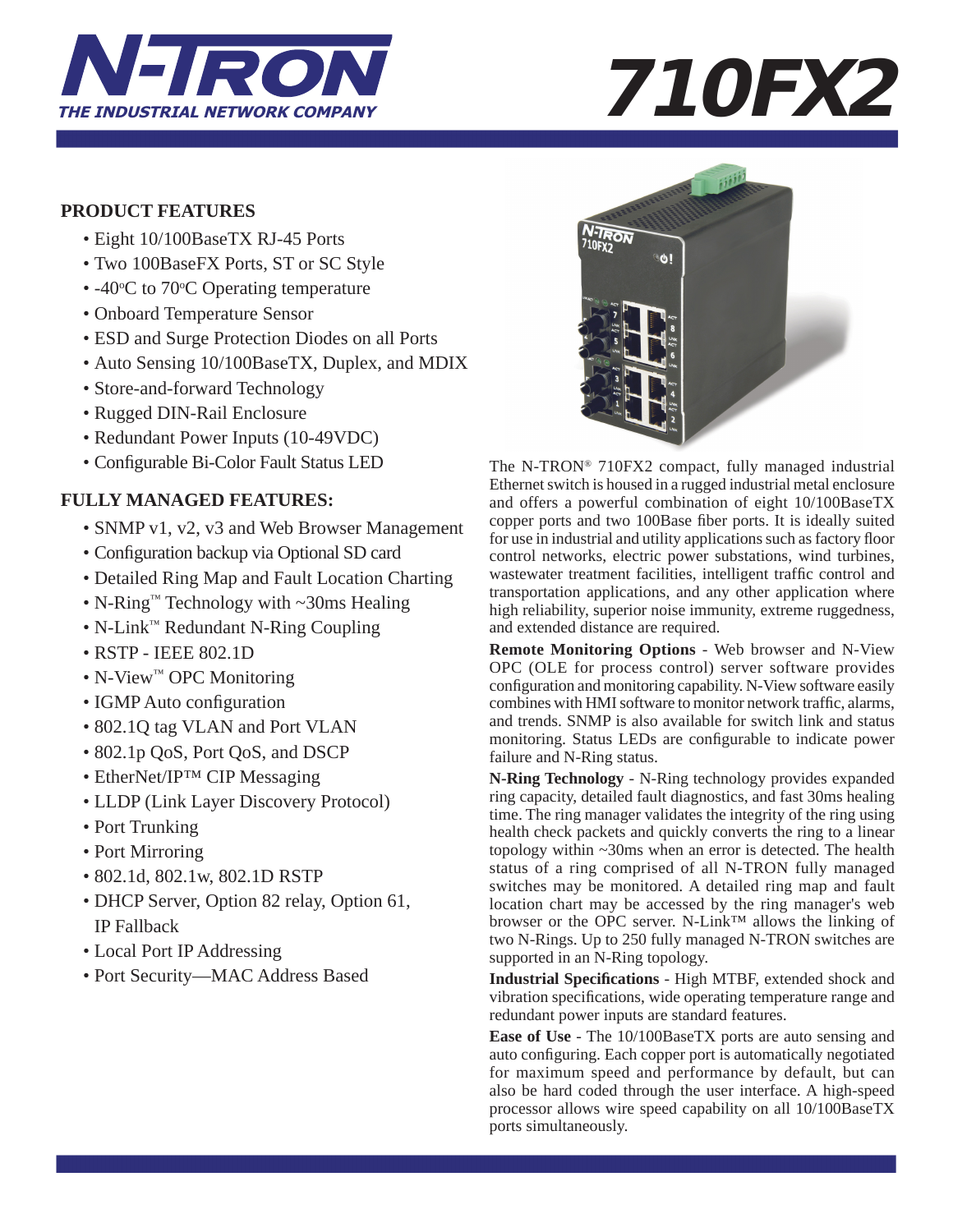

### **PRODUCT FEATURES**

- Eight 10/100BaseTX RJ-45 Ports
- Two 100BaseFX Ports, ST or SC Style
- $-40^{\circ}$ C to 70 $^{\circ}$ C Operating temperature
	- Onboard Temperature Sensor
	- ESD and Surge Protection Diodes on all Ports
	- Auto Sensing 10/100BaseTX, Duplex, and MDIX
	- Store-and-forward Technology
	- Rugged DIN-Rail Enclosure
	- Redundant Power Inputs (10-49VDC)
	- Configurable Bi-Color Fault Status LED

# **FULLY MANAGED FEATURES:**

- SNMP v1, v2, v3 and Web Browser Management
- Configuration backup via Optional SD card
- Detailed Ring Map and Fault Location Charting
- N-Ring™ Technology with ~30ms Healing
- N-Link™ Redundant N-Ring Coupling
- RSTP IEEE 802.1D
- N-View™ OPC Monitoring
- IGMP Auto configuration
- 802.1Q tag VLAN and Port VLAN
- 802.1p QoS, Port QoS, and DSCP
- EtherNet/IP<sup>TM</sup> CIP Messaging
- LLDP (Link Layer Discovery Protocol)
- Port Trunking
- Port Mirroring
- 802.1d, 802.1w, 802.1D RSTP
- DHCP Server, Option 82 relay, Option 61, IP Fallback
- Local Port IP Addressing
- Port Security—MAC Address Based



The N-TRON® 710FX2 compact, fully managed industrial Ethernet switch is housed in a rugged industrial metal enclosure and offers a powerful combination of eight 10/100BaseTX copper ports and two 100Base fiber ports. It is ideally suited for use in industrial and utility applications such as factory floor control networks, electric power substations, wind turbines, wastewater treatment facilities, intelligent traffic control and transportation applications, and any other application where high reliability, superior noise immunity, extreme ruggedness, and extended distance are required.

**Remote Monitoring Options** - Web browser and N-View OPC (OLE for process control) server software provides configuration and monitoring capability. N-View software easily combines with HMI software to monitor network traffic, alarms, and trends. SNMP is also available for switch link and status monitoring. Status LEDs are configurable to indicate power failure and N-Ring status.

**N-Ring Technology** - N-Ring technology provides expanded ring capacity, detailed fault diagnostics, and fast 30ms healing time. The ring manager validates the integrity of the ring using health check packets and quickly converts the ring to a linear topology within ~30ms when an error is detected. The health status of a ring comprised of all N-TRON fully managed switches may be monitored. A detailed ring map and fault location chart may be accessed by the ring manager's web browser or the OPC server. N-Link™ allows the linking of two N-Rings. Up to 250 fully managed N-TRON switches are supported in an N-Ring topology.

**Industrial Specifications** - High MTBF, extended shock and vibration specifications, wide operating temperature range and redundant power inputs are standard features.

**Ease of Use** - The 10/100BaseTX ports are auto sensing and auto configuring. Each copper port is automatically negotiated for maximum speed and performance by default, but can also be hard coded through the user interface. A high-speed processor allows wire speed capability on all 10/100BaseTX ports simultaneously.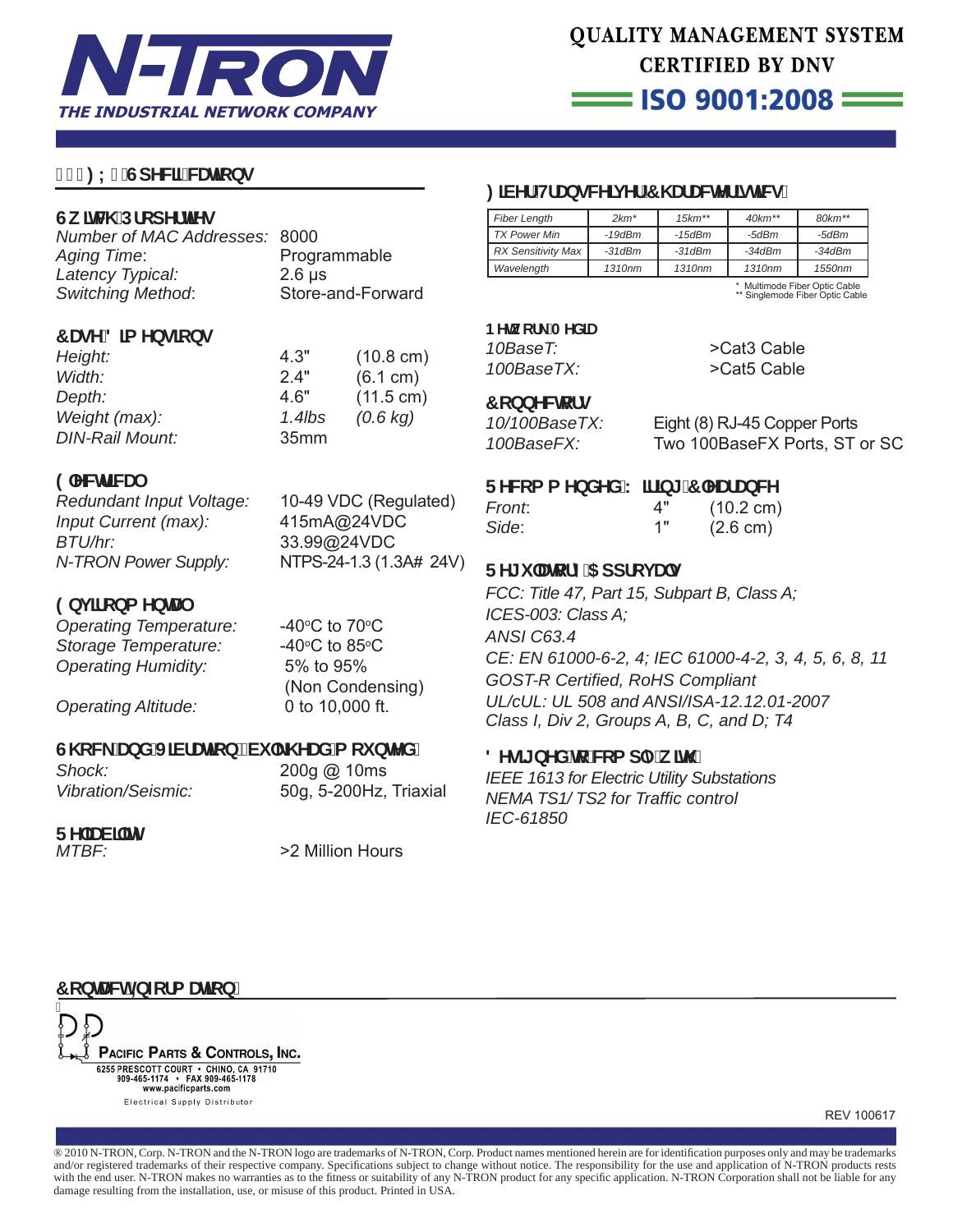

### +%\$: L&GdYWZWUHcbg

### **Gk IHW DfcdYfHYq**

*Number of MAC Addresses:* 8000 Aging Time: Programmable *Latency Typical:* 2.6 μs **Switching Method:** 

### **7 UgY'8 la Ybglcbg**

| 4.3"             | $(10.8 \text{ cm})$ |
|------------------|---------------------|
| 2.4"             | (6.1 cm)            |
| 4.6"             | $(11.5 \text{ cm})$ |
| 1.4 $lbs$        | $(0.6 \text{ kg})$  |
| 35 <sub>mm</sub> |                     |
|                  |                     |

### **9 WWFWU**

*Redundant Input Voltage:* 10-49 VDC (Regulated) *Input Current (max):* 415mA@24VDC *BTU/hr:* 33.99@24VDC *N-TRON Power Supply:* NTPS-24-1.3 (1.3A**#**24V)

### **9bi lfcba YbHJ**

**Operating Temperature: Storage Temperature:** *Operating Humidity:* 5% to 95%

C to  $70^{\circ}$ C C to  $85^{\circ}$ C (Non Condensing)

*Operating Altitude:* 0 to 10,000 ft.

### **G\cW\_UbXJ]VfUqcb`fWi`\_\YUX`acibhYXL**

*Shock:* 200g @ 10ms

*Vibration/Seismic:* 50g, 5-200Hz, Triaxial

# **FY]W]]m**<br>MTBE:

*MTBF:* >2 Million Hours

# : **JVYf Hf UbgWY]j Yf 7\ Uf UWWf JgHWg**

| <b>Fiber Length</b>       | $2km*$             | $15 km^{**}$       | $40km**$ | $80 km**$          |
|---------------------------|--------------------|--------------------|----------|--------------------|
| <b>TX Power Min</b>       | $-19$ d $Bm$       | $-15$ d $Bm$       | -5dBm    | -5dBm              |
| <b>RX Sensitivity Max</b> | $-31dBm$           | $-31$ d $Bm$       | $-34dBm$ | $-34dBm$           |
| Wavelength                | 1310 <sub>nm</sub> | 1310 <sub>nm</sub> | 1310nm   | 1550 <sub>nm</sub> |

\* Multimode Fiber Optic Cable \*\* Singlemode Fiber Optic Cable

### BYIk cf\_AYX]U

*10BaseT:* >Cat3 Cable

*100BaseTX:* >Cat5 Cable

### **7** cbbYWcfg

*10/100BaseTX:* Eight (8) RJ-45 Copper Ports *100BaseFX:* Two 100BaseFX Ports, ST or SC

### **FYWEA A YDXYX'K if jb['7'YUfUbWY**

*Front*: 4" (10.2 cm) *Side*: 1" (2.6 cm)

# **FYI** i `Urcfm5 ddfcj Ug

*FCC: Title 47, Part 15, Subpart B, Class A; ICES-003: Class A; ANSI C63.4 CE: EN 61000-6-2, 4; IEC 61000-4-2, 3, 4, 5, 6, 8, 11 GOST-R Certifi ed, RoHS Compliant UL/cUL: UL 508 and ANSI/ISA-12.12.01-2007 Class I, Div 2, Groups A, B, C, and D; T4*

### 8 Yg][ bYX'**lc** 'Wead`mik ]h.

*IEEE 1613 for Electric Utility Substations NEMA TS1/ TS2 for Traffi c control IEC-61850*

# 7 cbHJWh=b2cfa Uh]cb<sup>·</sup>



REV 100617

® 2010 N-TRON, Corp. N-TRON and the N-TRON logo are trademarks of N-TRON, Corp. Product names mentioned herein are for identification purposes only and may be trademarks and/or registered trademarks of their respective company. Specifications subject to change without notice. The responsibility for the use and application of N-TRON products rests with the end user. N-TRON makes no warranties as to the fitness or suitability of any N-TRON product for any specific application. N-TRON Corporation shall not be liable for any damage resulting from the installation, use, or misuse of this product. Printed in USA.